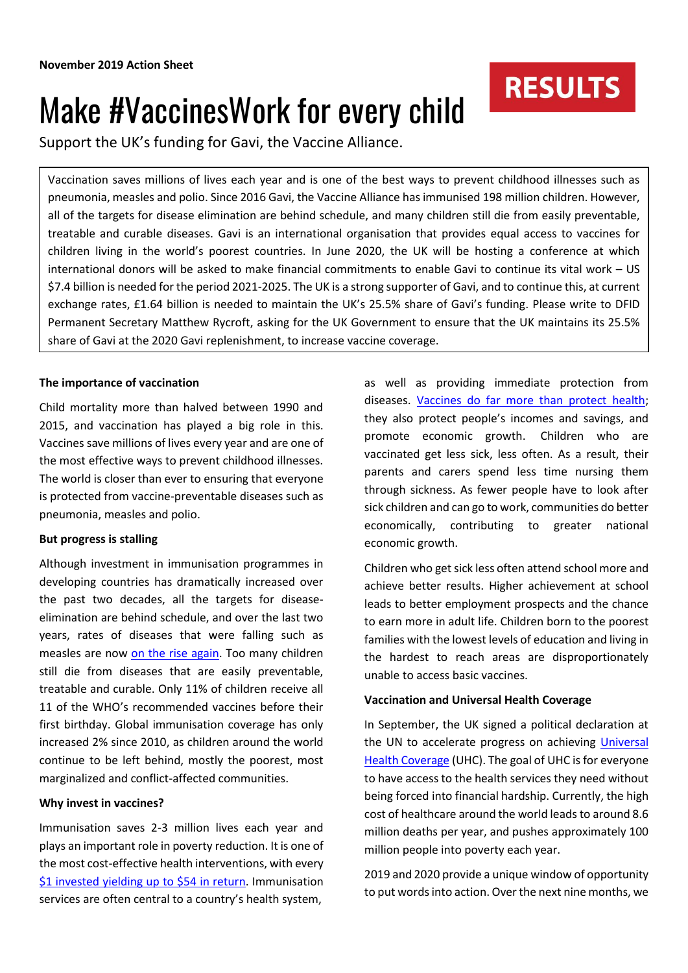# Make #VaccinesWork for every child

Support the UK's funding for Gavi, the Vaccine Alliance.

Vaccination saves millions of lives each year and is one of the best ways to prevent childhood illnesses such as pneumonia, measles and polio. Since 2016 Gavi, the Vaccine Alliance has immunised 198 million children. However, all of the targets for disease elimination are behind schedule, and many children still die from easily preventable, treatable and curable diseases. Gavi is an international organisation that provides equal access to vaccines for children living in the world's poorest countries. In June 2020, the UK will be hosting a conference at which international donors will be asked to make financial commitments to enable Gavi to continue its vital work – US \$7.4 billion is needed for the period 2021-2025. The UK is a strong supporter of Gavi, and to continue this, at current exchange rates, £1.64 billion is needed to maintain the UK's 25.5% share of Gavi's funding. Please write to DFID Permanent Secretary Matthew Rycroft, asking for the UK Government to ensure that the UK maintains its 25.5% share of Gavi at the 2020 Gavi replenishment, to increase vaccine coverage.

## **The importance of vaccination**

Child mortality more than halved between 1990 and 2015, and vaccination has played a big role in this. Vaccines save millions of lives every year and are one of the most effective ways to prevent childhood illnesses. The world is closer than ever to ensuring that everyone is protected from vaccine-preventable diseases such as pneumonia, measles and polio.

## **But progress is stalling**

Although investment in immunisation programmes in developing countries has dramatically increased over the past two decades, all the targets for diseaseelimination are behind schedule, and over the last two years, rates of diseases that were falling such as measles are now [on the rise again.](https://www.theguardian.com/society/2018/feb/19/who-warns-over-measles-immunisation-rates-as-cases-rise-400-across-europe) Too many children still die from diseases that are easily preventable, treatable and curable. Only 11% of children receive all 11 of the WHO's recommended vaccines before their first birthday. Global immunisation coverage has only increased 2% since 2010, as children around the world continue to be left behind, mostly the poorest, most marginalized and conflict-affected communities.

## **Why invest in vaccines?**

Immunisation saves 2-3 million lives each year and plays an important role in poverty reduction. It is one of the most cost-effective health interventions, with every [\\$1 invested yielding up to \\$54 in return.](https://www.gavi.org/about/mission/facts-and-figures/) Immunisation services are often central to a country's health system,

as well as providing immediate protection from diseases. [Vaccines do far more than protect health;](https://www.gavi.org/about/why-invest-in-vaccines/) they also protect people's incomes and savings, and promote economic growth. Children who are vaccinated get less sick, less often. As a result, their parents and carers spend less time nursing them through sickness. As fewer people have to look after sick children and can go to work, communities do better economically, contributing to greater national economic growth.

**RESULTS** 

Children who get sick less often attend school more and achieve better results. Higher achievement at school leads to better employment prospects and the chance to earn more in adult life. Children born to the poorest families with the lowest levels of education and living in the hardest to reach areas are disproportionately unable to access basic vaccines.

## **Vaccination and Universal Health Coverage**

In September, the UK signed a political declaration at the UN to accelerate progress on achieving Universal [Health Coverage](https://www.who.int/news-room/fact-sheets/detail/universal-health-coverage-(uhc)) (UHC). The goal of UHC is for everyone to have access to the health services they need without being forced into financial hardship. Currently, the high cost of healthcare around the world leads to around 8.6 million deaths per year, and pushes approximately 100 million people into poverty each year.

2019 and 2020 provide a unique window of opportunity to put words into action. Over the next nine months, we